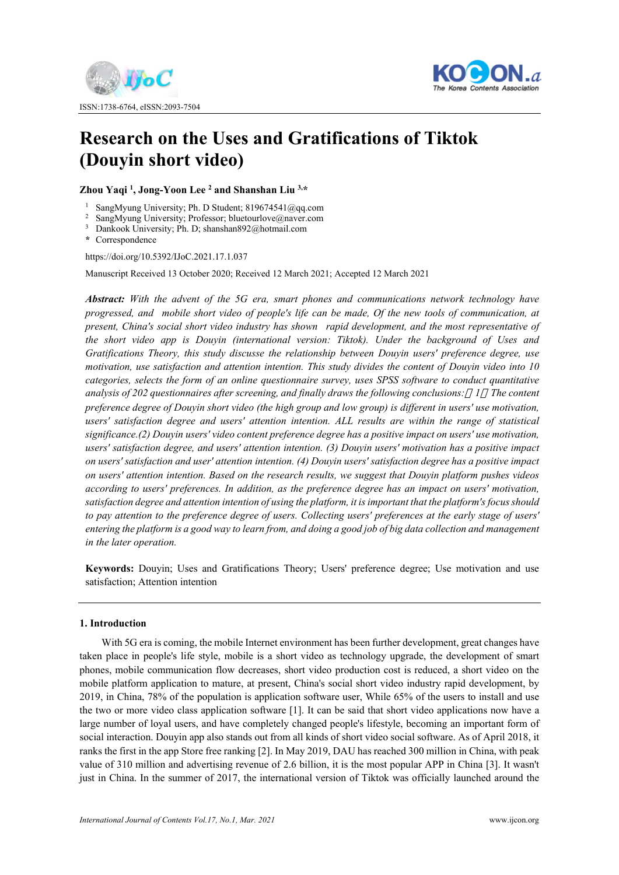



# **Research on the Uses and Gratifications of Tiktok (Douyin short video)**

**Zhou Yaqi 1 , Jong-Yoon Lee 2 and Shanshan Liu 3,\*** 

- 
- <sup>1</sup> SangMyung University; Ph. D Student; 819674541@qq.com<br><sup>2</sup> SangMyung University; Professor; bluetourlove@naver.com<br><sup>3</sup> Dankook University; Ph. D; shanshan892@hotmail.com
- 
- **\*** Correspondence

https://doi.org/10.5392/IJoC.2021.17.1.037

Manuscript Received 13 October 2020; Received 12 March 2021; Accepted 12 March 2021

*Abstract: With the advent of the 5G era, smart phones and communications network technology have progressed, and mobile short video of people's life can be made, Of the new tools of communication, at present, China's social short video industry has shown rapid development, and the most representative of the short video app is Douyin (international version: Tiktok). Under the background of Uses and Gratifications Theory, this study discusse the relationship between Douyin users' preference degree, use motivation, use satisfaction and attention intention. This study divides the content of Douyin video into 10 categories, selects the form of an online questionnaire survey, uses SPSS software to conduct quantitative analysis of 202 questionnaires after screening, and finally draws the following conclusions: 1 The content preference degree of Douyin short video (the high group and low group) is different in users' use motivation, users' satisfaction degree and users' attention intention. ALL results are within the range of statistical significance.(2) Douyin users' video content preference degree has a positive impact on users' use motivation, users' satisfaction degree, and users' attention intention. (3) Douyin users' motivation has a positive impact on users' satisfaction and user' attention intention. (4) Douyin users' satisfaction degree has a positive impact on users' attention intention. Based on the research results, we suggest that Douyin platform pushes videos according to users' preferences. In addition, as the preference degree has an impact on users' motivation, satisfaction degree and attention intention of using the platform, it is important that the platform's focus should*  to pay attention to the preference degree of users. Collecting users' preferences at the early stage of users' *entering the platform is a good way to learn from, and doing a good job of big data collection and management in the later operation.*

**Keywords:** Douyin; Uses and Gratifications Theory; Users' preference degree; Use motivation and use satisfaction; Attention intention

# **1. Introduction**

With 5G era is coming, the mobile Internet environment has been further development, great changes have taken place in people's life style, mobile is a short video as technology upgrade, the development of smart phones, mobile communication flow decreases, short video production cost is reduced, a short video on the mobile platform application to mature, at present, China's social short video industry rapid development, by 2019, in China, 78% of the population is application software user, While 65% of the users to install and use the two or more video class application software [1]. It can be said that short video applications now have a large number of loyal users, and have completely changed people's lifestyle, becoming an important form of social interaction. Douyin app also stands out from all kinds of short video social software. As of April 2018, it ranks the first in the app Store free ranking [2]. In May 2019, DAU has reached 300 million in China, with peak value of 310 million and advertising revenue of 2.6 billion, it is the most popular APP in China [3]. It wasn't just in China. In the summer of 2017, the international version of Tiktok was officially launched around the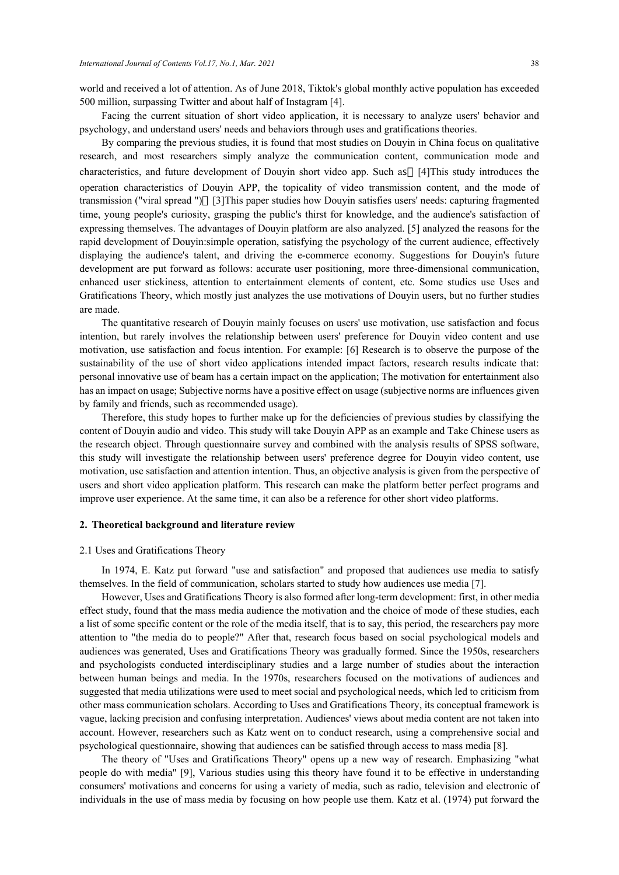world and received a lot of attention. As of June 2018, Tiktok's global monthly active population has exceeded 500 million, surpassing Twitter and about half of Instagram [4].

Facing the current situation of short video application, it is necessary to analyze users' behavior and psychology, and understand users' needs and behaviors through uses and gratifications theories.

By comparing the previous studies, it is found that most studies on Douyin in China focus on qualitative research, and most researchers simply analyze the communication content, communication mode and characteristics, and future development of Douyin short video app. Such as [4]This study introduces the operation characteristics of Douyin APP, the topicality of video transmission content, and the mode of transmission ("viral spread ") [3]This paper studies how Douyin satisfies users' needs: capturing fragmented time, young people's curiosity, grasping the public's thirst for knowledge, and the audience's satisfaction of expressing themselves. The advantages of Douyin platform are also analyzed. [5] analyzed the reasons for the rapid development of Douyin:simple operation, satisfying the psychology of the current audience, effectively displaying the audience's talent, and driving the e-commerce economy. Suggestions for Douyin's future development are put forward as follows: accurate user positioning, more three-dimensional communication, enhanced user stickiness, attention to entertainment elements of content, etc. Some studies use Uses and Gratifications Theory, which mostly just analyzes the use motivations of Douyin users, but no further studies are made.

The quantitative research of Douyin mainly focuses on users' use motivation, use satisfaction and focus intention, but rarely involves the relationship between users' preference for Douyin video content and use motivation, use satisfaction and focus intention. For example: [6] Research is to observe the purpose of the sustainability of the use of short video applications intended impact factors, research results indicate that: personal innovative use of beam has a certain impact on the application; The motivation for entertainment also has an impact on usage; Subjective norms have a positive effect on usage (subjective norms are influences given by family and friends, such as recommended usage).

Therefore, this study hopes to further make up for the deficiencies of previous studies by classifying the content of Douyin audio and video. This study will take Douyin APP as an example and Take Chinese users as the research object. Through questionnaire survey and combined with the analysis results of SPSS software, this study will investigate the relationship between users' preference degree for Douyin video content, use motivation, use satisfaction and attention intention. Thus, an objective analysis is given from the perspective of users and short video application platform. This research can make the platform better perfect programs and improve user experience. At the same time, it can also be a reference for other short video platforms.

## **2. Theoretical background and literature review**

#### 2.1 Uses and Gratifications Theory

In 1974, E. Katz put forward "use and satisfaction" and proposed that audiences use media to satisfy themselves. In the field of communication, scholars started to study how audiences use media [7].

However, Uses and Gratifications Theory is also formed after long-term development: first, in other media effect study, found that the mass media audience the motivation and the choice of mode of these studies, each a list of some specific content or the role of the media itself, that is to say, this period, the researchers pay more attention to "the media do to people?" After that, research focus based on social psychological models and audiences was generated, Uses and Gratifications Theory was gradually formed. Since the 1950s, researchers and psychologists conducted interdisciplinary studies and a large number of studies about the interaction between human beings and media. In the 1970s, researchers focused on the motivations of audiences and suggested that media utilizations were used to meet social and psychological needs, which led to criticism from other mass communication scholars. According to Uses and Gratifications Theory, its conceptual framework is vague, lacking precision and confusing interpretation. Audiences' views about media content are not taken into account. However, researchers such as Katz went on to conduct research, using a comprehensive social and psychological questionnaire, showing that audiences can be satisfied through access to mass media [8].

The theory of "Uses and Gratifications Theory" opens up a new way of research. Emphasizing "what people do with media" [9], Various studies using this theory have found it to be effective in understanding consumers' motivations and concerns for using a variety of media, such as radio, television and electronic of individuals in the use of mass media by focusing on how people use them. Katz et al. (1974) put forward the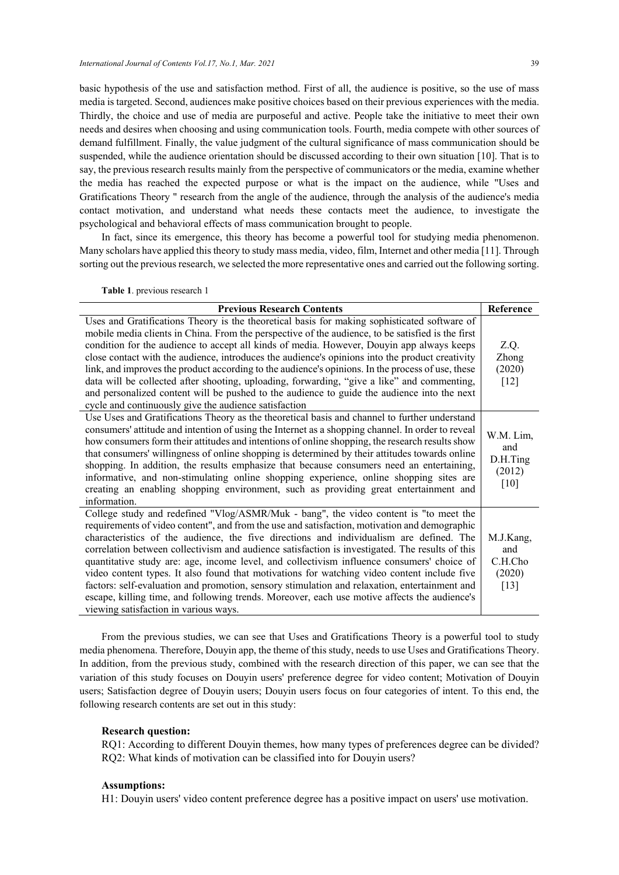basic hypothesis of the use and satisfaction method. First of all, the audience is positive, so the use of mass media is targeted. Second, audiences make positive choices based on their previous experiences with the media. Thirdly, the choice and use of media are purposeful and active. People take the initiative to meet their own needs and desires when choosing and using communication tools. Fourth, media compete with other sources of demand fulfillment. Finally, the value judgment of the cultural significance of mass communication should be suspended, while the audience orientation should be discussed according to their own situation [10]. That is to say, the previous research results mainly from the perspective of communicators or the media, examine whether the media has reached the expected purpose or what is the impact on the audience, while "Uses and Gratifications Theory " research from the angle of the audience, through the analysis of the audience's media contact motivation, and understand what needs these contacts meet the audience, to investigate the psychological and behavioral effects of mass communication brought to people.

In fact, since its emergence, this theory has become a powerful tool for studying media phenomenon. Many scholars have applied this theory to study mass media, video, film, Internet and other media [11]. Through sorting out the previous research, we selected the more representative ones and carried out the following sorting.

**Table 1**. previous research 1

| <b>Previous Research Contents</b>                                                                                                                                                                                                                                                                                                                                                                                                                                                                                                                                                                                                                                                                                                                                                                                           | Reference                                       |
|-----------------------------------------------------------------------------------------------------------------------------------------------------------------------------------------------------------------------------------------------------------------------------------------------------------------------------------------------------------------------------------------------------------------------------------------------------------------------------------------------------------------------------------------------------------------------------------------------------------------------------------------------------------------------------------------------------------------------------------------------------------------------------------------------------------------------------|-------------------------------------------------|
| Uses and Gratifications Theory is the theoretical basis for making sophisticated software of<br>mobile media clients in China. From the perspective of the audience, to be satisfied is the first<br>condition for the audience to accept all kinds of media. However, Douyin app always keeps<br>close contact with the audience, introduces the audience's opinions into the product creativity<br>link, and improves the product according to the audience's opinions. In the process of use, these<br>data will be collected after shooting, uploading, forwarding, "give a like" and commenting,<br>and personalized content will be pushed to the audience to guide the audience into the next<br>cycle and continuously give the audience satisfaction                                                               | Z.Q.<br>Zhong<br>(2020)<br>$[12]$               |
| Use Uses and Gratifications Theory as the theoretical basis and channel to further understand<br>consumers' attitude and intention of using the Internet as a shopping channel. In order to reveal<br>how consumers form their attitudes and intentions of online shopping, the research results show<br>that consumers' willingness of online shopping is determined by their attitudes towards online<br>shopping. In addition, the results emphasize that because consumers need an entertaining,<br>informative, and non-stimulating online shopping experience, online shopping sites are<br>creating an enabling shopping environment, such as providing great entertainment and<br>information.                                                                                                                      | W.M. Lim,<br>and<br>D.H.Ting<br>(2012)<br>[10]  |
| College study and redefined "Vlog/ASMR/Muk - bang", the video content is "to meet the<br>requirements of video content", and from the use and satisfaction, motivation and demographic<br>characteristics of the audience, the five directions and individualism are defined. The<br>correlation between collectivism and audience satisfaction is investigated. The results of this<br>quantitative study are: age, income level, and collectivism influence consumers' choice of<br>video content types. It also found that motivations for watching video content include five<br>factors: self-evaluation and promotion, sensory stimulation and relaxation, entertainment and<br>escape, killing time, and following trends. Moreover, each use motive affects the audience's<br>viewing satisfaction in various ways. | M.J.Kang,<br>and<br>C.H.Cho<br>(2020)<br>$[13]$ |

From the previous studies, we can see that Uses and Gratifications Theory is a powerful tool to study media phenomena. Therefore, Douyin app, the theme of this study, needs to use Uses and Gratifications Theory. In addition, from the previous study, combined with the research direction of this paper, we can see that the variation of this study focuses on Douyin users' preference degree for video content; Motivation of Douyin users; Satisfaction degree of Douyin users; Douyin users focus on four categories of intent. To this end, the following research contents are set out in this study:

## **Research question:**

RQ1: According to different Douyin themes, how many types of preferences degree can be divided? RQ2: What kinds of motivation can be classified into for Douyin users?

## **Assumptions:**

H1: Douyin users' video content preference degree has a positive impact on users' use motivation.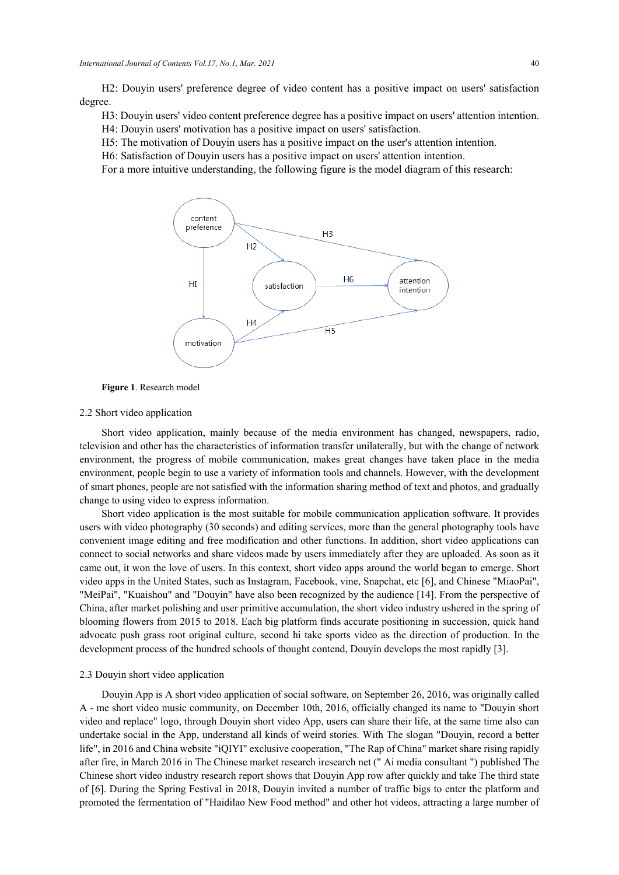H2: Douyin users' preference degree of video content has a positive impact on users' satisfaction degree.

H3: Douyin users' video content preference degree has a positive impact on users' attention intention.

H4: Douyin users' motivation has a positive impact on users' satisfaction.

H5: The motivation of Douyin users has a positive impact on the user's attention intention.

H6: Satisfaction of Douyin users has a positive impact on users' attention intention.

For a more intuitive understanding, the following figure is the model diagram of this research:



**Figure 1**. Research model

#### 2.2 Short video application

Short video application, mainly because of the media environment has changed, newspapers, radio, television and other has the characteristics of information transfer unilaterally, but with the change of network environment, the progress of mobile communication, makes great changes have taken place in the media environment, people begin to use a variety of information tools and channels. However, with the development of smart phones, people are not satisfied with the information sharing method of text and photos, and gradually change to using video to express information.

Short video application is the most suitable for mobile communication application software. It provides users with video photography (30 seconds) and editing services, more than the general photography tools have convenient image editing and free modification and other functions. In addition, short video applications can connect to social networks and share videos made by users immediately after they are uploaded. As soon as it came out, it won the love of users. In this context, short video apps around the world began to emerge. Short video apps in the United States, such as Instagram, Facebook, vine, Snapchat, etc [6], and Chinese "MiaoPai", "MeiPai", "Kuaishou" and "Douyin" have also been recognized by the audience [14]. From the perspective of China, after market polishing and user primitive accumulation, the short video industry ushered in the spring of blooming flowers from 2015 to 2018. Each big platform finds accurate positioning in succession, quick hand advocate push grass root original culture, second hi take sports video as the direction of production. In the development process of the hundred schools of thought contend, Douyin develops the most rapidly [3].

#### 2.3 Douyin short video application

Douyin App is A short video application of social software, on September 26, 2016, was originally called A - me short video music community, on December 10th, 2016, officially changed its name to "Douyin short video and replace" logo, through Douyin short video App, users can share their life, at the same time also can undertake social in the App, understand all kinds of weird stories. With The slogan "Douyin, record a better life", in 2016 and China website "iQIYI" exclusive cooperation, "The Rap of China" market share rising rapidly after fire, in March 2016 in The Chinese market research iresearch net (" Ai media consultant ") published The Chinese short video industry research report shows that Douyin App row after quickly and take The third state of [6]. During the Spring Festival in 2018, Douyin invited a number of traffic bigs to enter the platform and promoted the fermentation of "Haidilao New Food method" and other hot videos, attracting a large number of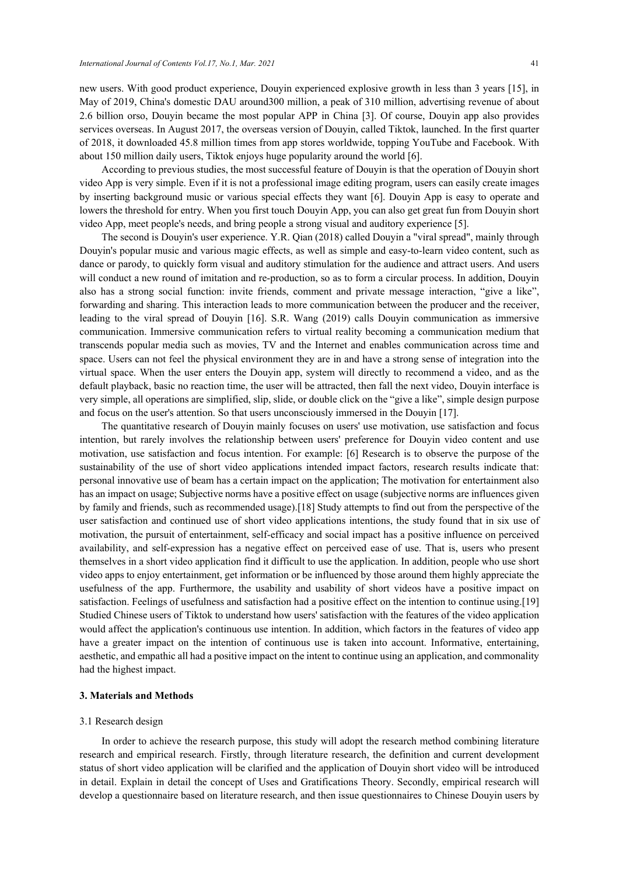new users. With good product experience, Douyin experienced explosive growth in less than 3 years [15], in May of 2019, China's domestic DAU around300 million, a peak of 310 million, advertising revenue of about 2.6 billion orso, Douyin became the most popular APP in China [3]. Of course, Douyin app also provides services overseas. In August 2017, the overseas version of Douyin, called Tiktok, launched. In the first quarter of 2018, it downloaded 45.8 million times from app stores worldwide, topping YouTube and Facebook. With about 150 million daily users, Tiktok enjoys huge popularity around the world [6].

According to previous studies, the most successful feature of Douyin is that the operation of Douyin short video App is very simple. Even if it is not a professional image editing program, users can easily create images by inserting background music or various special effects they want [6]. Douyin App is easy to operate and lowers the threshold for entry. When you first touch Douyin App, you can also get great fun from Douyin short video App, meet people's needs, and bring people a strong visual and auditory experience [5].

The second is Douyin's user experience. Y.R. Qian (2018) called Douyin a "viral spread", mainly through Douyin's popular music and various magic effects, as well as simple and easy-to-learn video content, such as dance or parody, to quickly form visual and auditory stimulation for the audience and attract users. And users will conduct a new round of imitation and re-production, so as to form a circular process. In addition, Douyin also has a strong social function: invite friends, comment and private message interaction, "give a like", forwarding and sharing. This interaction leads to more communication between the producer and the receiver, leading to the viral spread of Douyin [16]. S.R. Wang (2019) calls Douyin communication as immersive communication. Immersive communication refers to virtual reality becoming a communication medium that transcends popular media such as movies, TV and the Internet and enables communication across time and space. Users can not feel the physical environment they are in and have a strong sense of integration into the virtual space. When the user enters the Douyin app, system will directly to recommend a video, and as the default playback, basic no reaction time, the user will be attracted, then fall the next video, Douyin interface is very simple, all operations are simplified, slip, slide, or double click on the "give a like", simple design purpose and focus on the user's attention. So that users unconsciously immersed in the Douyin [17].

The quantitative research of Douyin mainly focuses on users' use motivation, use satisfaction and focus intention, but rarely involves the relationship between users' preference for Douyin video content and use motivation, use satisfaction and focus intention. For example: [6] Research is to observe the purpose of the sustainability of the use of short video applications intended impact factors, research results indicate that: personal innovative use of beam has a certain impact on the application; The motivation for entertainment also has an impact on usage; Subjective norms have a positive effect on usage (subjective norms are influences given by family and friends, such as recommended usage).[18] Study attempts to find out from the perspective of the user satisfaction and continued use of short video applications intentions, the study found that in six use of motivation, the pursuit of entertainment, self-efficacy and social impact has a positive influence on perceived availability, and self-expression has a negative effect on perceived ease of use. That is, users who present themselves in a short video application find it difficult to use the application. In addition, people who use short video apps to enjoy entertainment, get information or be influenced by those around them highly appreciate the usefulness of the app. Furthermore, the usability and usability of short videos have a positive impact on satisfaction. Feelings of usefulness and satisfaction had a positive effect on the intention to continue using.[19] Studied Chinese users of Tiktok to understand how users' satisfaction with the features of the video application would affect the application's continuous use intention. In addition, which factors in the features of video app have a greater impact on the intention of continuous use is taken into account. Informative, entertaining, aesthetic, and empathic all had a positive impact on the intent to continue using an application, and commonality had the highest impact.

#### **3. Materials and Methods**

# 3.1 Research design

In order to achieve the research purpose, this study will adopt the research method combining literature research and empirical research. Firstly, through literature research, the definition and current development status of short video application will be clarified and the application of Douyin short video will be introduced in detail. Explain in detail the concept of Uses and Gratifications Theory. Secondly, empirical research will develop a questionnaire based on literature research, and then issue questionnaires to Chinese Douyin users by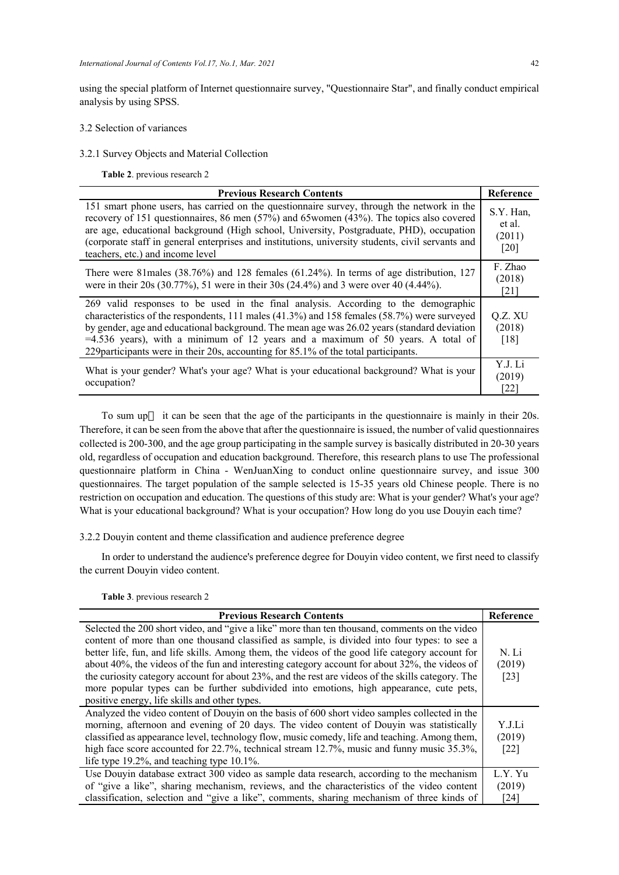using the special platform of Internet questionnaire survey, "Questionnaire Star", and finally conduct empirical analysis by using SPSS.

#### 3.2 Selection of variances

3.2.1 Survey Objects and Material Collection

**Table 2**. previous research 2

| <b>Previous Research Contents</b>                                                                                                                                                                                                                                                                                                                                                                                                                                | Reference                             |
|------------------------------------------------------------------------------------------------------------------------------------------------------------------------------------------------------------------------------------------------------------------------------------------------------------------------------------------------------------------------------------------------------------------------------------------------------------------|---------------------------------------|
| 151 smart phone users, has carried on the questionnaire survey, through the network in the<br>recovery of 151 questionnaires, 86 men $(57%)$ and 65 women $(43%)$ . The topics also covered<br>are age, educational background (High school, University, Postgraduate, PHD), occupation<br>(corporate staff in general enterprises and institutions, university students, civil servants and<br>teachers, etc.) and income level                                 | S.Y. Han,<br>et al.<br>(2011)<br>[20] |
| There were 81males (38.76%) and 128 females (61.24%). In terms of age distribution, 127<br>were in their 20s (30.77%), 51 were in their 30s (24.4%) and 3 were over 40 (4.44%).                                                                                                                                                                                                                                                                                  | F. Zhao<br>(2018)<br>[21]             |
| 269 valid responses to be used in the final analysis. According to the demographic<br>characteristics of the respondents, 111 males $(41.3%)$ and 158 females $(58.7%)$ were surveyed<br>by gender, age and educational background. The mean age was 26.02 years (standard deviation<br>$=4.536$ years), with a minimum of 12 years and a maximum of 50 years. A total of<br>229 participants were in their 20s, accounting for 85.1% of the total participants. | Q.Z. XU<br>(2018)<br>[18]             |
| What is your gender? What's your age? What is your educational background? What is your<br>occupation?                                                                                                                                                                                                                                                                                                                                                           | Y.J. Li<br>(2019)<br>[22]             |

To sum up it can be seen that the age of the participants in the questionnaire is mainly in their 20s. Therefore, it can be seen from the above that after the questionnaire is issued, the number of valid questionnaires collected is 200-300, and the age group participating in the sample survey is basically distributed in 20-30 years old, regardless of occupation and education background. Therefore, this research plans to use The professional questionnaire platform in China - WenJuanXing to conduct online questionnaire survey, and issue 300 questionnaires. The target population of the sample selected is 15-35 years old Chinese people. There is no restriction on occupation and education. The questions of this study are: What is your gender? What's your age? What is your educational background? What is your occupation? How long do you use Douyin each time?

3.2.2 Douyin content and theme classification and audience preference degree

In order to understand the audience's preference degree for Douyin video content, we first need to classify the current Douyin video content.

| <b>Previous Research Contents</b>                                                                 | Reference |
|---------------------------------------------------------------------------------------------------|-----------|
| Selected the 200 short video, and "give a like" more than ten thousand, comments on the video     |           |
| content of more than one thousand classified as sample, is divided into four types: to see a      |           |
| better life, fun, and life skills. Among them, the videos of the good life category account for   | N. Li     |
| about 40%, the videos of the fun and interesting category account for about 32%, the videos of    | (2019)    |
| the curiosity category account for about 23%, and the rest are videos of the skills category. The | $[23]$    |
| more popular types can be further subdivided into emotions, high appearance, cute pets,           |           |
| positive energy, life skills and other types.                                                     |           |
| Analyzed the video content of Douyin on the basis of 600 short video samples collected in the     |           |
| morning, afternoon and evening of 20 days. The video content of Douyin was statistically          | Y.J.Li    |
| classified as appearance level, technology flow, music comedy, life and teaching. Among them,     | (2019)    |
| high face score accounted for 22.7%, technical stream 12.7%, music and funny music 35.3%,         | $[22]$    |
| life type $19.2\%$ , and teaching type $10.1\%$ .                                                 |           |
| Use Douyin database extract 300 video as sample data research, according to the mechanism         | L.Y. Yu   |
| of "give a like", sharing mechanism, reviews, and the characteristics of the video content        | (2019)    |
| classification, selection and "give a like", comments, sharing mechanism of three kinds of        | [24]      |

**Table 3**. previous research 2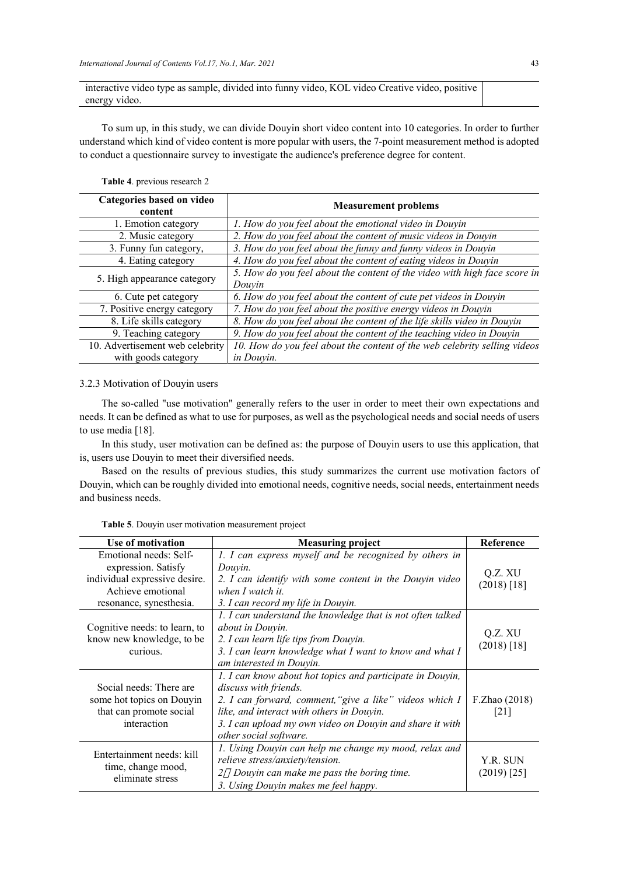interactive video type as sample, divided into funny video, KOL video Creative video, positive energy video.

To sum up, in this study, we can divide Douyin short video content into 10 categories. In order to further understand which kind of video content is more popular with users, the 7-point measurement method is adopted to conduct a questionnaire survey to investigate the audience's preference degree for content.

#### **Table 4**. previous research 2

| Categories based on video<br>content | <b>Measurement problems</b>                                                         |
|--------------------------------------|-------------------------------------------------------------------------------------|
| 1. Emotion category                  | 1. How do you feel about the emotional video in Douyin                              |
| 2. Music category                    | 2. How do you feel about the content of music videos in Douyin                      |
| 3. Funny fun category,               | 3. How do you feel about the funny and funny videos in Douyin                       |
| 4. Eating category                   | 4. How do you feel about the content of eating videos in Douyin                     |
| 5. High appearance category          | 5. How do you feel about the content of the video with high face score in<br>Douvin |
| 6. Cute pet category                 | 6. How do you feel about the content of cute pet videos in Douyin                   |
| 7. Positive energy category          | 7. How do you feel about the positive energy videos in Douyin                       |
| 8. Life skills category              | 8. How do you feel about the content of the life skills video in Douyin             |
| 9. Teaching category                 | 9. How do you feel about the content of the teaching video in Douyin                |
| 10. Advertisement web celebrity      | 10. How do you feel about the content of the web celebrity selling videos           |
| with goods category                  | in Douvin.                                                                          |

## 3.2.3 Motivation of Douyin users

The so-called "use motivation" generally refers to the user in order to meet their own expectations and needs. It can be defined as what to use for purposes, as well as the psychological needs and social needs of users to use media [18].

In this study, user motivation can be defined as: the purpose of Douyin users to use this application, that is, users use Douyin to meet their diversified needs.

Based on the results of previous studies, this study summarizes the current use motivation factors of Douyin, which can be roughly divided into emotional needs, cognitive needs, social needs, entertainment needs and business needs.

| Use of motivation                                                                                                              | <b>Measuring project</b>                                                                                                                                                                                                                                                         | Reference                 |
|--------------------------------------------------------------------------------------------------------------------------------|----------------------------------------------------------------------------------------------------------------------------------------------------------------------------------------------------------------------------------------------------------------------------------|---------------------------|
| Emotional needs: Self-<br>expression. Satisfy<br>individual expressive desire.<br>Achieve emotional<br>resonance, synesthesia. | 1. I can express myself and be recognized by others in<br>Douyin.<br>2. I can identify with some content in the Douyin video<br>when I watch it.<br>3. I can record my life in Douyin.                                                                                           | Q.Z. XU<br>$(2018)$ [18]  |
| Cognitive needs: to learn, to<br>know new knowledge, to be<br>curious.                                                         | 1. I can understand the knowledge that is not often talked<br><i>about in Douyin.</i><br>2. I can learn life tips from Douyin.<br>3. I can learn knowledge what I want to know and what I<br>am interested in Douyin.                                                            | Q.Z. XU<br>$(2018)$ [18]  |
| Social needs: There are<br>some hot topics on Douyin<br>that can promote social<br>interaction                                 | 1. I can know about hot topics and participate in Douyin,<br>discuss with friends.<br>2. I can forward, comment, "give a like" videos which I<br>like, and interact with others in Douyin.<br>3. I can upload my own video on Douyin and share it with<br>other social software. | F.Zhao (2018)<br>1211     |
| Entertainment needs: kill<br>time, change mood,<br>eliminate stress                                                            | 1. Using Douyin can help me change my mood, relax and<br><i>relieve stress/anxiety/tension.</i><br>Douyin can make me pass the boring time.<br>2<br>3. Using Douyin makes me feel happy.                                                                                         | Y.R. SUN<br>$(2019)$ [25] |

**Table 5**. Douyin user motivation measurement project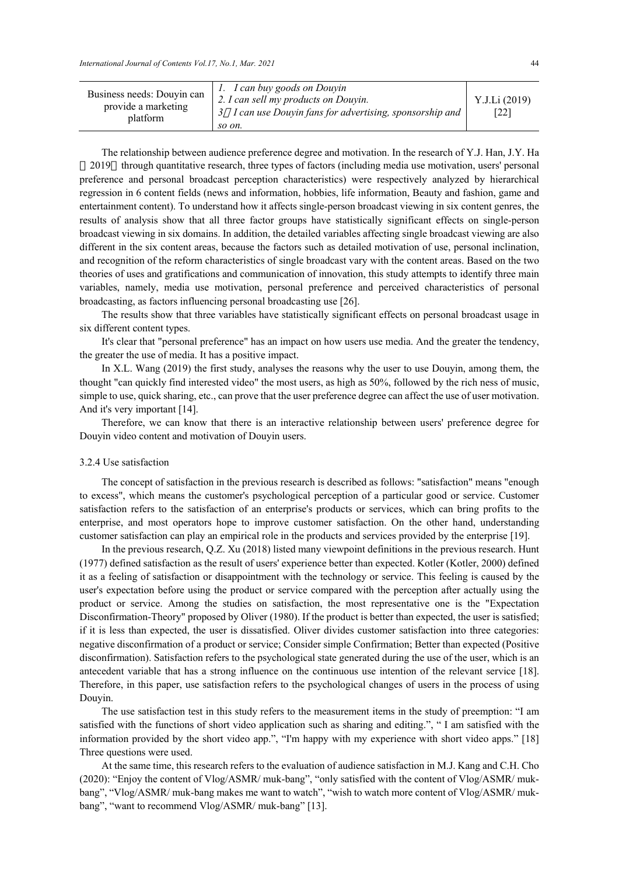| Business needs: Douyin can<br>provide a marketing<br>platform | 1. I can buy goods on Douyin<br>2. I can sell my products on Douyin.<br><i>I can use Douyin fans for advertising, sponsorship and</i><br>so on. | Y.J.Li (2019)<br>[22] |
|---------------------------------------------------------------|-------------------------------------------------------------------------------------------------------------------------------------------------|-----------------------|
|---------------------------------------------------------------|-------------------------------------------------------------------------------------------------------------------------------------------------|-----------------------|

The relationship between audience preference degree and motivation. In the research of Y.J. Han, J.Y. Ha 2019 through quantitative research, three types of factors (including media use motivation, users' personal preference and personal broadcast perception characteristics) were respectively analyzed by hierarchical regression in 6 content fields (news and information, hobbies, life information, Beauty and fashion, game and entertainment content). To understand how it affects single-person broadcast viewing in six content genres, the results of analysis show that all three factor groups have statistically significant effects on single-person broadcast viewing in six domains. In addition, the detailed variables affecting single broadcast viewing are also different in the six content areas, because the factors such as detailed motivation of use, personal inclination, and recognition of the reform characteristics of single broadcast vary with the content areas. Based on the two theories of uses and gratifications and communication of innovation, this study attempts to identify three main variables, namely, media use motivation, personal preference and perceived characteristics of personal broadcasting, as factors influencing personal broadcasting use [26].

The results show that three variables have statistically significant effects on personal broadcast usage in six different content types.

It's clear that "personal preference" has an impact on how users use media. And the greater the tendency, the greater the use of media. It has a positive impact.

In X.L. Wang (2019) the first study, analyses the reasons why the user to use Douyin, among them, the thought "can quickly find interested video" the most users, as high as 50%, followed by the rich ness of music, simple to use, quick sharing, etc., can prove that the user preference degree can affect the use of user motivation. And it's very important [14].

Therefore, we can know that there is an interactive relationship between users' preference degree for Douyin video content and motivation of Douyin users.

#### 3.2.4 Use satisfaction

The concept of satisfaction in the previous research is described as follows: "satisfaction" means "enough to excess", which means the customer's psychological perception of a particular good or service. Customer satisfaction refers to the satisfaction of an enterprise's products or services, which can bring profits to the enterprise, and most operators hope to improve customer satisfaction. On the other hand, understanding customer satisfaction can play an empirical role in the products and services provided by the enterprise [19].

In the previous research, Q.Z. Xu (2018) listed many viewpoint definitions in the previous research. Hunt (1977) defined satisfaction as the result of users' experience better than expected. Kotler (Kotler, 2000) defined it as a feeling of satisfaction or disappointment with the technology or service. This feeling is caused by the user's expectation before using the product or service compared with the perception after actually using the product or service. Among the studies on satisfaction, the most representative one is the "Expectation Disconfirmation-Theory" proposed by Oliver (1980). If the product is better than expected, the user is satisfied; if it is less than expected, the user is dissatisfied. Oliver divides customer satisfaction into three categories: negative disconfirmation of a product or service; Consider simple Confirmation; Better than expected (Positive disconfirmation). Satisfaction refers to the psychological state generated during the use of the user, which is an antecedent variable that has a strong influence on the continuous use intention of the relevant service [18]. Therefore, in this paper, use satisfaction refers to the psychological changes of users in the process of using Douyin.

The use satisfaction test in this study refers to the measurement items in the study of preemption: "I am satisfied with the functions of short video application such as sharing and editing.", " I am satisfied with the information provided by the short video app.", "I'm happy with my experience with short video apps." [18] Three questions were used.

At the same time, this research refers to the evaluation of audience satisfaction in M.J. Kang and C.H. Cho (2020): "Enjoy the content of Vlog/ASMR/ muk-bang", "only satisfied with the content of Vlog/ASMR/ mukbang", "Vlog/ASMR/ muk-bang makes me want to watch", "wish to watch more content of Vlog/ASMR/ mukbang", "want to recommend Vlog/ASMR/ muk-bang" [13].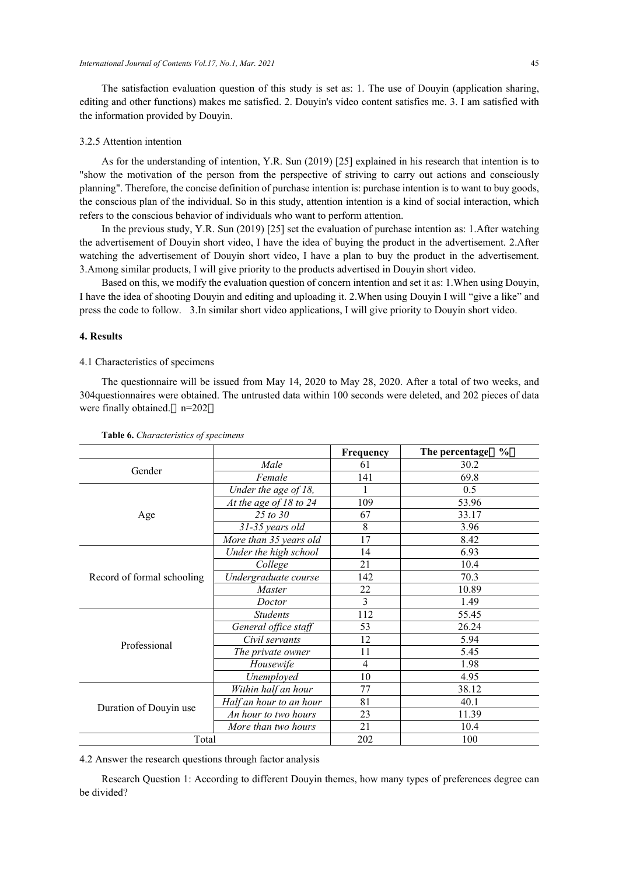The satisfaction evaluation question of this study is set as: 1. The use of Douyin (application sharing, editing and other functions) makes me satisfied. 2. Douyin's video content satisfies me. 3. I am satisfied with the information provided by Douyin.

#### 3.2.5 Attention intention

As for the understanding of intention, Y.R. Sun (2019) [25] explained in his research that intention is to "show the motivation of the person from the perspective of striving to carry out actions and consciously planning". Therefore, the concise definition of purchase intention is: purchase intention is to want to buy goods, the conscious plan of the individual. So in this study, attention intention is a kind of social interaction, which refers to the conscious behavior of individuals who want to perform attention.

In the previous study, Y.R. Sun (2019) [25] set the evaluation of purchase intention as: 1.After watching the advertisement of Douyin short video, I have the idea of buying the product in the advertisement. 2.After watching the advertisement of Douyin short video, I have a plan to buy the product in the advertisement. 3.Among similar products, I will give priority to the products advertised in Douyin short video.

Based on this, we modify the evaluation question of concern intention and set it as: 1.When using Douyin, I have the idea of shooting Douyin and editing and uploading it. 2.When using Douyin I will "give a like" and press the code to follow. 3.In similar short video applications, I will give priority to Douyin short video.

# **4. Results**

## 4.1 Characteristics of specimens

The questionnaire will be issued from May 14, 2020 to May 28, 2020. After a total of two weeks, and 304questionnaires were obtained. The untrusted data within 100 seconds were deleted, and 202 pieces of data were finally obtained. n=202

|                            |                            | Frequency      | $\frac{0}{0}$<br>The percentage |  |
|----------------------------|----------------------------|----------------|---------------------------------|--|
| Gender                     | Male                       | 61             | 30.2                            |  |
|                            | Female                     | 141            | 69.8                            |  |
|                            | Under the age of 18,       | 1              | 0.5                             |  |
|                            | At the age of $18$ to $24$ | 109            | 53.96                           |  |
| Age                        | $25 \text{ to } 30$        | 67             | 33.17                           |  |
|                            | 31-35 years old            | 8              | 3.96                            |  |
|                            | More than 35 years old     | 17             | 8.42                            |  |
|                            | Under the high school      | 14             | 6.93                            |  |
| Record of formal schooling | College                    | 21             | 10.4                            |  |
|                            | Undergraduate course       | 142            | 70.3                            |  |
|                            | <i>Master</i>              | 22             | 10.89                           |  |
|                            | Doctor                     | $\overline{3}$ | 1.49                            |  |
|                            | <b>Students</b>            | 112            | 55.45                           |  |
|                            | General office staff       | 53             | 26.24                           |  |
| Professional               | Civil servants             | 12             | 5.94                            |  |
|                            | The private owner          | 11             | 5.45                            |  |
|                            | Housewife                  | $\overline{4}$ | 1.98                            |  |
|                            | Unemployed                 | 10             | 4.95                            |  |
|                            | Within half an hour        | 77             | 38.12                           |  |
|                            | Half an hour to an hour    | 81             | 40.1                            |  |
| Duration of Douyin use     | An hour to two hours       | 23<br>11.39    |                                 |  |
|                            | More than two hours        | 21             | 10.4                            |  |
| Total                      |                            | 202            | 100                             |  |

**Table 6.** *Characteristics of specimens* 

4.2 Answer the research questions through factor analysis

Research Question 1: According to different Douyin themes, how many types of preferences degree can be divided?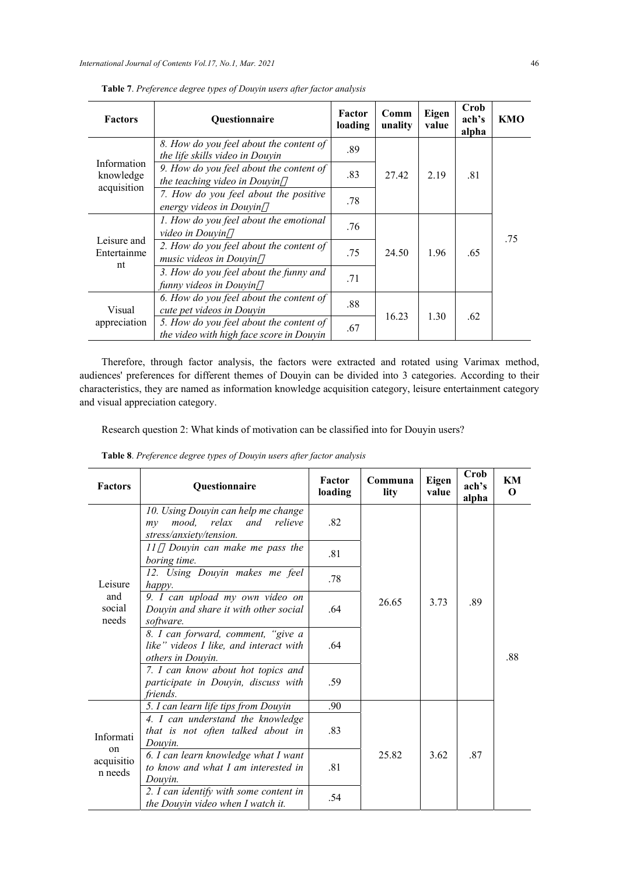| <b>Factors</b>                          | Questionnaire                                                                       | Factor<br>loading | Comm<br>unality | Eigen<br>value | Crob<br>ach's<br>alpha | KMO |
|-----------------------------------------|-------------------------------------------------------------------------------------|-------------------|-----------------|----------------|------------------------|-----|
|                                         | 8. How do you feel about the content of<br>the life skills video in Douyin          | .89               |                 |                |                        |     |
| Information<br>knowledge<br>acquisition | 9. How do you feel about the content of<br>the teaching video in Douyin             | .83               | 27.42<br>2.19   | .81            |                        |     |
|                                         | 7. How do you feel about the positive<br>energy videos in Douyin                    | .78               |                 |                |                        |     |
|                                         | 1. How do you feel about the emotional<br>video in Douvin                           | .76               |                 |                |                        | .75 |
| Leisure and<br>Entertainme<br>nt        | 2. How do you feel about the content of<br>music videos in Douyin                   | .75               | 24.50           | 1.96           | .65                    |     |
|                                         | 3. How do you feel about the funny and<br>funny videos in Douyin                    | .71               |                 |                |                        |     |
| Visual                                  | 6. How do you feel about the content of<br>cute pet videos in Douyin                | .88               |                 |                | .62                    |     |
| appreciation                            | 5. How do you feel about the content of<br>the video with high face score in Douyin | .67               | 16.23           | 1.30           |                        |     |

**Table 7**. *Preference degree types of Douyin users after factor analysis*

Therefore, through factor analysis, the factors were extracted and rotated using Varimax method, audiences' preferences for different themes of Douyin can be divided into 3 categories. According to their characteristics, they are named as information knowledge acquisition category, leisure entertainment category and visual appreciation category.

Research question 2: What kinds of motivation can be classified into for Douyin users?

| <b>Table 8</b> . Preference degree types of Douyin users after factor analysis |  |  |  |  |  |
|--------------------------------------------------------------------------------|--|--|--|--|--|
|--------------------------------------------------------------------------------|--|--|--|--|--|

| <b>Factors</b>                                      | Questionnaire                                                                                         | Factor<br>loading | Communa<br>lity | Eigen<br>value | Crob<br>ach's<br>alpha | KM<br>$\bf{0}$ |
|-----------------------------------------------------|-------------------------------------------------------------------------------------------------------|-------------------|-----------------|----------------|------------------------|----------------|
|                                                     | 10. Using Douyin can help me change<br>mood, relax<br>and<br>relieve<br>my<br>stress/anxiety/tension. | .82               |                 |                |                        |                |
| Leisure<br>and<br>social<br>needs                   | Douyin can make me pass the<br>II<br>boring time.                                                     | .81               |                 |                |                        |                |
|                                                     | 12. Using Douyin makes me feel<br>happy.                                                              | .78               |                 |                |                        |                |
|                                                     | 9. I can upload my own video on<br>26.65<br>Douyin and share it with other social<br>.64<br>software. |                   |                 | 3.73           | .89                    |                |
|                                                     | 8. I can forward, comment, "give a<br>like" videos I like, and interact with<br>others in Douvin.     | .64               |                 |                |                        | .88            |
|                                                     | 7. I can know about hot topics and<br>participate in Douyin, discuss with<br>friends.                 | .59               |                 |                |                        |                |
|                                                     | 5. I can learn life tips from Douyin                                                                  | .90               |                 |                |                        |                |
| Informati<br><sub>on</sub><br>acquisitio<br>n needs | 4. I can understand the knowledge<br>that is not often talked about in<br>Douvin.                     | .83               |                 |                |                        |                |
|                                                     | 6. I can learn knowledge what I want<br>to know and what I am interested in<br>Douyin.                | .81               | 25.82           | 3.62           | .87                    |                |
|                                                     | 2. I can identify with some content in<br>the Douyin video when I watch it.                           | .54               |                 |                |                        |                |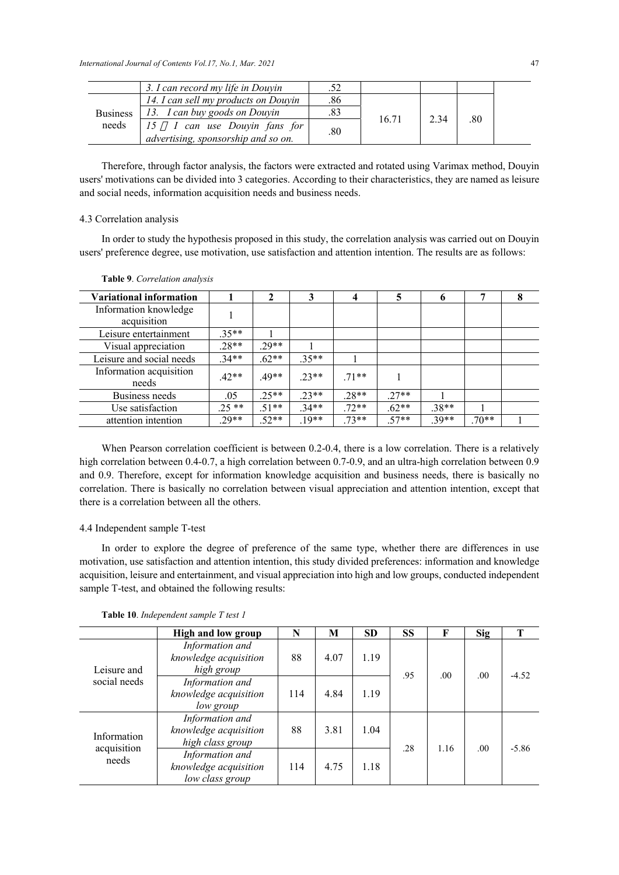|                 | 3. I can record my life in Douyin                                   | .52 |       |      |     |  |
|-----------------|---------------------------------------------------------------------|-----|-------|------|-----|--|
|                 | 14. I can sell my products on Douyin                                | .86 |       |      |     |  |
| <b>Business</b> | 13. I can buy goods on Douyin                                       | .83 |       | 2.34 |     |  |
| needs           | 15 I can use Douyin fans for<br>advertising, sponsorship and so on. | .80 | 16.71 |      | .80 |  |

Therefore, through factor analysis, the factors were extracted and rotated using Varimax method, Douyin users' motivations can be divided into 3 categories. According to their characteristics, they are named as leisure and social needs, information acquisition needs and business needs.

## 4.3 Correlation analysis

In order to study the hypothesis proposed in this study, the correlation analysis was carried out on Douyin users' preference degree, use motivation, use satisfaction and attention intention. The results are as follows:

| <b>Variational information</b>       |         | 2       | 3       | 4       | 5       | o       | 7       | 8 |
|--------------------------------------|---------|---------|---------|---------|---------|---------|---------|---|
| Information knowledge<br>acquisition |         |         |         |         |         |         |         |   |
| Leisure entertainment                | $.35**$ |         |         |         |         |         |         |   |
| Visual appreciation                  | $.28**$ | 29**    |         |         |         |         |         |   |
| Leisure and social needs             | $.34**$ | $.62**$ | $.35**$ |         |         |         |         |   |
| Information acquisition<br>needs     | $.42**$ | .49**   | $.23**$ | $.71**$ |         |         |         |   |
| Business needs                       | .05     | $25**$  | $23**$  | $.28**$ | $.27**$ |         |         |   |
| Use satisfaction                     | $.25**$ | $.51**$ | $.34**$ | $.72**$ | $.62**$ | $.38**$ |         |   |
| attention intention                  | $.29**$ | $.52**$ | $.19**$ | $.73**$ | $.57**$ | $.39**$ | $.70**$ |   |

#### **Table 9**. *Correlation analysis*

When Pearson correlation coefficient is between 0.2-0.4, there is a low correlation. There is a relatively high correlation between 0.4-0.7, a high correlation between 0.7-0.9, and an ultra-high correlation between 0.9 and 0.9. Therefore, except for information knowledge acquisition and business needs, there is basically no correlation. There is basically no correlation between visual appreciation and attention intention, except that there is a correlation between all the others.

# 4.4 Independent sample T-test

In order to explore the degree of preference of the same type, whether there are differences in use motivation, use satisfaction and attention intention, this study divided preferences: information and knowledge acquisition, leisure and entertainment, and visual appreciation into high and low groups, conducted independent sample T-test, and obtained the following results:

|                            | <b>High and low group</b>                                    | N   | M    | <b>SD</b> | <b>SS</b> | F    | <b>Sig</b> | Т       |
|----------------------------|--------------------------------------------------------------|-----|------|-----------|-----------|------|------------|---------|
| Leisure and                | Information and<br>knowledge acquisition<br>high group       | 88  | 4.07 | 1.19      | .95       | .00. | .00.       | $-4.52$ |
| social needs               | Information and<br>knowledge acquisition<br>low group        | 114 | 4.84 | 1.19      |           |      |            |         |
| Information<br>acquisition | Information and<br>knowledge acquisition<br>high class group | 88  | 3.81 | 1.04      | .28       | 1.16 | .00.       | $-5.86$ |
| needs                      | Information and<br>knowledge acquisition<br>low class group  | 114 | 4.75 | 1.18      |           |      |            |         |

**Table 10**. *Independent sample T test 1*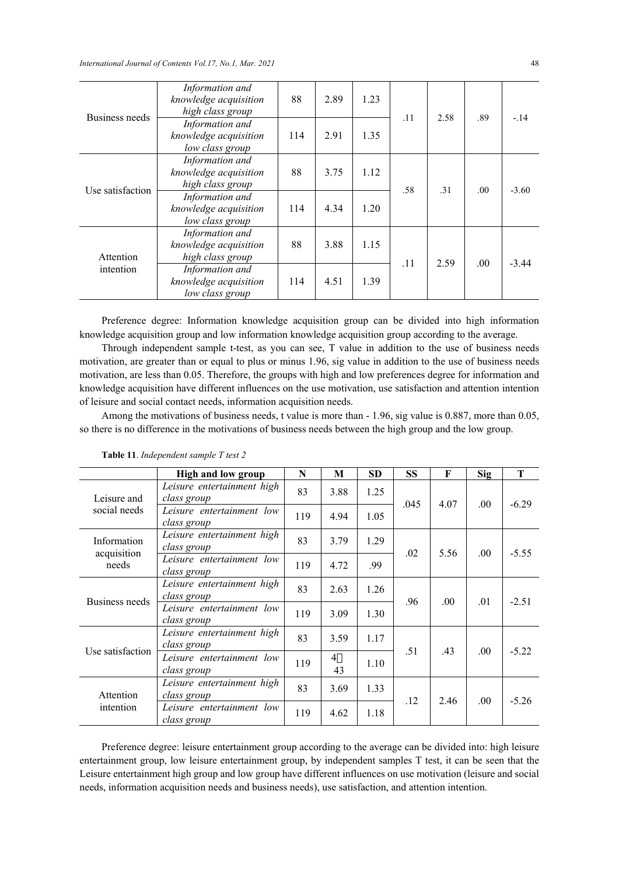*International Journal of Contents Vol.17, No.1, Mar. 2021* 48

| Business needs   | Information and<br>knowledge acquisition<br>high class group       | 88  | 2.89 | 1.23 | .11 | 2.58       | .89  | $-.14$  |
|------------------|--------------------------------------------------------------------|-----|------|------|-----|------------|------|---------|
|                  | Information and<br>knowledge acquisition<br>low class group        | 114 | 2.91 | 1.35 |     |            |      |         |
| Use satisfaction | Information and<br>88<br>knowledge acquisition<br>high class group |     | 3.75 | 1.12 |     |            | .00  | $-3.60$ |
|                  | Information and<br>knowledge acquisition<br>low class group        | 114 | 4.34 | 1.20 |     | .58<br>.31 |      |         |
| Attention        | Information and<br>knowledge acquisition<br>high class group       | 88  | 3.88 | 1.15 | .11 | 2.59       | .00. | $-3.44$ |
| intention        | Information and<br>knowledge acquisition<br>low class group        | 114 | 4.51 | 1.39 |     |            |      |         |

Preference degree: Information knowledge acquisition group can be divided into high information knowledge acquisition group and low information knowledge acquisition group according to the average.

Through independent sample t-test, as you can see, T value in addition to the use of business needs motivation, are greater than or equal to plus or minus 1.96, sig value in addition to the use of business needs motivation, are less than 0.05. Therefore, the groups with high and low preferences degree for information and knowledge acquisition have different influences on the use motivation, use satisfaction and attention intention of leisure and social contact needs, information acquisition needs.

Among the motivations of business needs, t value is more than - 1.96, sig value is 0.887, more than 0.05, so there is no difference in the motivations of business needs between the high group and the low group.

|                            | High and low group                        | N   | M                    | <b>SD</b> | <b>SS</b> | F    | <b>Sig</b> | T       |
|----------------------------|-------------------------------------------|-----|----------------------|-----------|-----------|------|------------|---------|
| Leisure and                | Leisure entertainment high<br>class group | 83  | 3.88                 | 1.25      | .045      | 4.07 | .00.       | $-6.29$ |
| social needs               | Leisure entertainment low<br>class group  | 119 | 4.94                 | 1.05      |           |      |            |         |
| Information<br>acquisition | Leisure entertainment high<br>class group | 83  | 3.79                 | 1.29      | .02       | 5.56 | .00.       | $-5.55$ |
| needs                      | Leisure entertainment low<br>class group  | 119 | 4.72                 | .99       |           |      |            |         |
|                            | Leisure entertainment high<br>class group | 83  | 2.63                 | 1.26      | .96       | .00. | .01        | $-2.51$ |
| Business needs             | Leisure entertainment low<br>class group  | 119 | 3.09                 | 1.30      |           |      |            |         |
|                            | Leisure entertainment high<br>class group | 83  | 3.59                 | 1.17      | .51       | .43  | .00.       | $-5.22$ |
| Use satisfaction           | Leisure entertainment low<br>class group  | 119 | $\overline{4}$<br>43 | 1.10      |           |      |            |         |
| Attention                  | Leisure entertainment high<br>class group | 83  | 3.69                 | 1.33      | .12       | 2.46 | .00.       | $-5.26$ |
| intention                  | Leisure entertainment low<br>class group  | 119 | 4.62                 | 1.18      |           |      |            |         |

**Table 11**. *Independent sample T test 2* 

Preference degree: leisure entertainment group according to the average can be divided into: high leisure entertainment group, low leisure entertainment group, by independent samples T test, it can be seen that the Leisure entertainment high group and low group have different influences on use motivation (leisure and social needs, information acquisition needs and business needs), use satisfaction, and attention intention.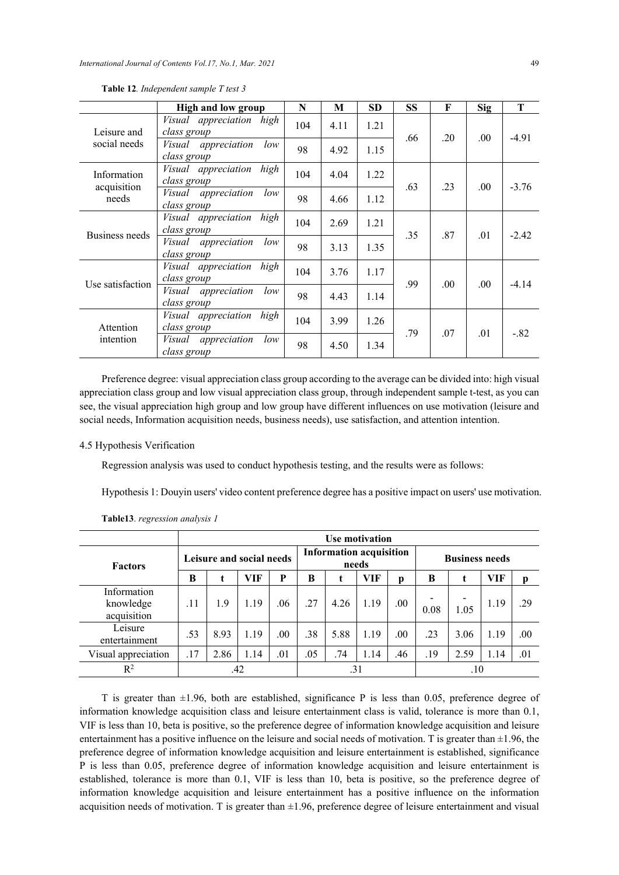|                            | <b>High and low group</b>                         | N   | M    | <b>SD</b> | <b>SS</b> | F    | <b>Sig</b> | T       |
|----------------------------|---------------------------------------------------|-----|------|-----------|-----------|------|------------|---------|
| Leisure and                | Visual appreciation high<br>class group           | 104 | 4.11 | 1.21      | .66       | .20  | .00.       | $-4.91$ |
| social needs               | Visual appreciation<br>low<br>class group         | 98  | 4.92 | 1.15      |           |      |            |         |
| Information<br>acquisition | high<br><i>Visual</i> appreciation<br>class group | 104 | 4.04 | 1.22      | .63       | .23  | .00.       | $-3.76$ |
| needs                      | low<br>Visual appreciation<br>class group         | 98  | 4.66 | 1.12      |           |      |            |         |
| Business needs             | high<br><i>Visual appreciation</i><br>class group | 104 | 2.69 | 1.21      | .35       | .87  | .01        | $-2.42$ |
|                            | low<br>Visual appreciation<br>class group         | 98  | 3.13 | 1.35      |           |      |            |         |
| Use satisfaction           | high<br>Visual appreciation<br>class group        | 104 | 3.76 | 1.17      | .99       | .00. |            | $-4.14$ |
|                            | low<br>appreciation<br>Visual<br>class group      | 98  | 4.43 | 1.14      |           |      | .00.       |         |
| Attention                  | high<br>Visual appreciation<br>class group        | 104 | 3.99 | 1.26      | .79       | .07  | .01        | $-.82$  |
| intention                  | low<br>Visual appreciation<br>class group         | 98  | 4.50 | 1.34      |           |      |            |         |

**Table 12***. Independent sample T test 3*

Preference degree: visual appreciation class group according to the average can be divided into: high visual appreciation class group and low visual appreciation class group, through independent sample t-test, as you can see, the visual appreciation high group and low group have different influences on use motivation (leisure and social needs, Information acquisition needs, business needs), use satisfaction, and attention intention.

#### 4.5 Hypothesis Verification

Regression analysis was used to conduct hypothesis testing, and the results were as follows:

Hypothesis 1: Douyin users' video content preference degree has a positive impact on users' use motivation.

|                                         |                          | <b>Use motivation</b> |      |      |     |                                         |      |      |      |                       |      |      |  |
|-----------------------------------------|--------------------------|-----------------------|------|------|-----|-----------------------------------------|------|------|------|-----------------------|------|------|--|
| <b>Factors</b>                          | Leisure and social needs |                       |      |      |     | <b>Information acquisition</b><br>needs |      |      |      | <b>Business needs</b> |      |      |  |
|                                         | B                        |                       | VIF  | P    | B   | t                                       | VIF  | p    | B    |                       | VIF  | p    |  |
| Information<br>knowledge<br>acquisition | .11                      | 1.9                   | 1.19 | .06  | .27 | 4.26                                    | 1.19 | .00. | 0.08 | 1.05                  | 1.19 | .29  |  |
| Leisure<br>entertainment                | .53                      | 8.93                  | 1.19 | .00. | .38 | 5.88                                    | 1.19 | .00  | .23  | 3.06                  | 1.19 | .00. |  |
| Visual appreciation                     | .17                      | 2.86                  | 1.14 | .01  | .05 | .74                                     | 1.14 | .46  | .19  | 2.59                  | 1.14 | .01  |  |
| $R^2$                                   | .42<br>.31<br>.10        |                       |      |      |     |                                         |      |      |      |                       |      |      |  |

**Table13**. *regression analysis 1*

T is greater than  $\pm 1.96$ , both are established, significance P is less than 0.05, preference degree of information knowledge acquisition class and leisure entertainment class is valid, tolerance is more than 0.1, VIF is less than 10, beta is positive, so the preference degree of information knowledge acquisition and leisure entertainment has a positive influence on the leisure and social needs of motivation. T is greater than  $\pm 1.96$ , the preference degree of information knowledge acquisition and leisure entertainment is established, significance P is less than 0.05, preference degree of information knowledge acquisition and leisure entertainment is established, tolerance is more than 0.1, VIF is less than 10, beta is positive, so the preference degree of information knowledge acquisition and leisure entertainment has a positive influence on the information acquisition needs of motivation. T is greater than  $\pm 1.96$ , preference degree of leisure entertainment and visual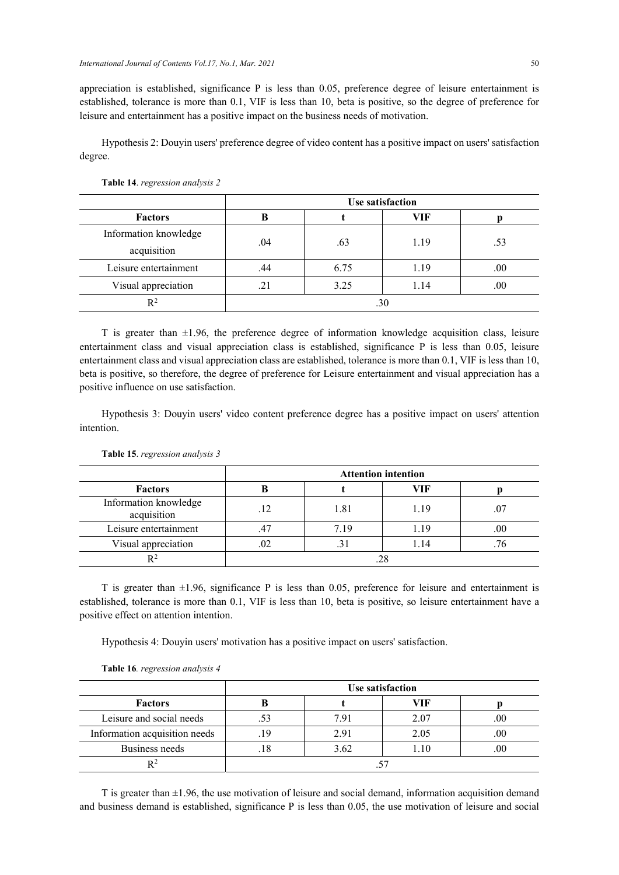appreciation is established, significance P is less than 0.05, preference degree of leisure entertainment is established, tolerance is more than 0.1, VIF is less than 10, beta is positive, so the degree of preference for leisure and entertainment has a positive impact on the business needs of motivation.

Hypothesis 2: Douyin users' preference degree of video content has a positive impact on users' satisfaction degree.

|                       | <b>Use satisfaction</b> |      |      |     |  |  |  |  |
|-----------------------|-------------------------|------|------|-----|--|--|--|--|
| <b>Factors</b>        |                         |      | VIF  |     |  |  |  |  |
| Information knowledge | .04                     | .63  | 1.19 | .53 |  |  |  |  |
| acquisition           |                         |      |      |     |  |  |  |  |
| Leisure entertainment | .44                     | 6.75 | 1.19 | .00 |  |  |  |  |
| Visual appreciation   | .21                     | 3.25 | 1.14 | .00 |  |  |  |  |
| $\mathbb{R}^2$        | .30                     |      |      |     |  |  |  |  |

#### **Table 14**. *regression analysis 2*

T is greater than  $\pm 1.96$ , the preference degree of information knowledge acquisition class, leisure entertainment class and visual appreciation class is established, significance P is less than 0.05, leisure entertainment class and visual appreciation class are established, tolerance is more than 0.1, VIF is less than 10, beta is positive, so therefore, the degree of preference for Leisure entertainment and visual appreciation has a positive influence on use satisfaction.

Hypothesis 3: Douyin users' video content preference degree has a positive impact on users' attention intention.

|                                      | <b>Attention intention</b> |      |      |     |  |  |  |  |
|--------------------------------------|----------------------------|------|------|-----|--|--|--|--|
| <b>Factors</b>                       | ĸ                          |      | VIF  |     |  |  |  |  |
| Information knowledge<br>acquisition | .12                        | 1.81 | 1.19 | .07 |  |  |  |  |
| Leisure entertainment                | .47                        | 7.19 | 1.19 | .00 |  |  |  |  |
| Visual appreciation                  | .02                        |      | 1.14 |     |  |  |  |  |
| R2                                   |                            |      |      |     |  |  |  |  |

**Table 15**. *regression analysis 3* 

T is greater than  $\pm 1.96$ , significance P is less than 0.05, preference for leisure and entertainment is established, tolerance is more than 0.1, VIF is less than 10, beta is positive, so leisure entertainment have a positive effect on attention intention.

Hypothesis 4: Douyin users' motivation has a positive impact on users' satisfaction.

|                               | Use satisfaction |                  |      |     |  |  |  |  |
|-------------------------------|------------------|------------------|------|-----|--|--|--|--|
| <b>Factors</b>                |                  |                  | VIF  |     |  |  |  |  |
| Leisure and social needs      | .53              | 7.9 <sub>1</sub> | 2.07 | .00 |  |  |  |  |
| Information acquisition needs | .19              | 2.91             | 2.05 | .00 |  |  |  |  |
| Business needs                | . 18             | 3.62             | .10  | .00 |  |  |  |  |
|                               |                  |                  |      |     |  |  |  |  |

**Table 16***. regression analysis 4* 

T is greater than  $\pm 1.96$ , the use motivation of leisure and social demand, information acquisition demand and business demand is established, significance P is less than 0.05, the use motivation of leisure and social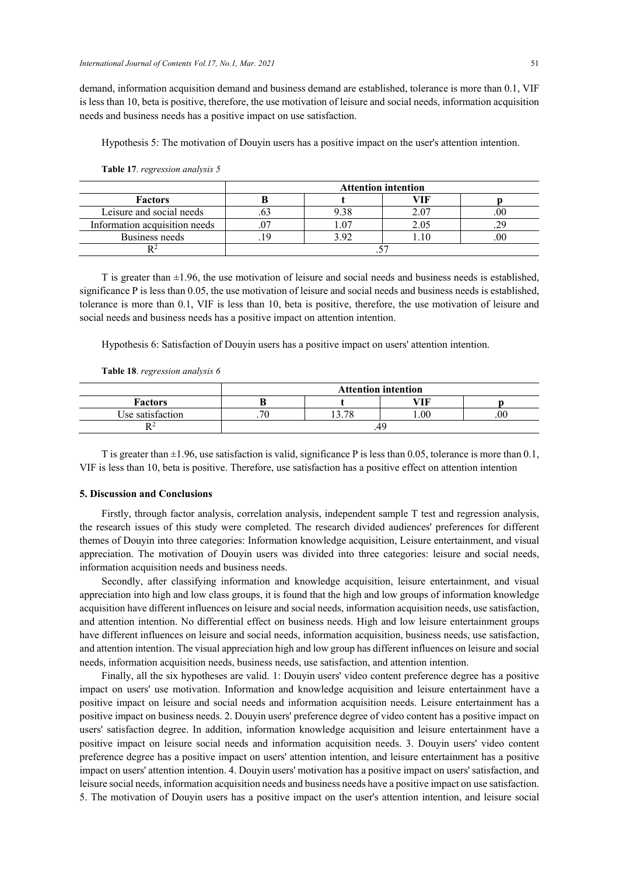demand, information acquisition demand and business demand are established, tolerance is more than 0.1, VIF is less than 10, beta is positive, therefore, the use motivation of leisure and social needs, information acquisition needs and business needs has a positive impact on use satisfaction.

Hypothesis 5: The motivation of Douyin users has a positive impact on the user's attention intention.

|                               | <b>Attention intention</b> |  |     |     |  |  |  |  |
|-------------------------------|----------------------------|--|-----|-----|--|--|--|--|
| <b>Factors</b>                |                            |  |     |     |  |  |  |  |
| Leisure and social needs      |                            |  |     | .00 |  |  |  |  |
| Information acquisition needs |                            |  | .05 |     |  |  |  |  |
| Business needs                | <b>C</b>                   |  |     |     |  |  |  |  |
|                               |                            |  |     |     |  |  |  |  |

**Table 17**. *regression analysis 5* 

T is greater than  $\pm 1.96$ , the use motivation of leisure and social needs and business needs is established, significance P is less than 0.05, the use motivation of leisure and social needs and business needs is established, tolerance is more than 0.1, VIF is less than 10, beta is positive, therefore, the use motivation of leisure and social needs and business needs has a positive impact on attention intention.

Hypothesis 6: Satisfaction of Douyin users has a positive impact on users' attention intention.

**Table 18**. *regression analysis 6* 

|                  | <b>Attention intention</b> |                   |     |  |  |  |  |  |
|------------------|----------------------------|-------------------|-----|--|--|--|--|--|
| <b>Factors</b>   |                            |                   | 'TF |  |  |  |  |  |
| Use satisfaction | U                          | .00.<br>70<br>.00 |     |  |  |  |  |  |
|                  | .49.                       |                   |     |  |  |  |  |  |

T is greater than  $\pm 1.96$ , use satisfaction is valid, significance P is less than 0.05, tolerance is more than 0.1, VIF is less than 10, beta is positive. Therefore, use satisfaction has a positive effect on attention intention

# **5. Discussion and Conclusions**

Firstly, through factor analysis, correlation analysis, independent sample T test and regression analysis, the research issues of this study were completed. The research divided audiences' preferences for different themes of Douyin into three categories: Information knowledge acquisition, Leisure entertainment, and visual appreciation. The motivation of Douyin users was divided into three categories: leisure and social needs, information acquisition needs and business needs.

Secondly, after classifying information and knowledge acquisition, leisure entertainment, and visual appreciation into high and low class groups, it is found that the high and low groups of information knowledge acquisition have different influences on leisure and social needs, information acquisition needs, use satisfaction, and attention intention. No differential effect on business needs. High and low leisure entertainment groups have different influences on leisure and social needs, information acquisition, business needs, use satisfaction, and attention intention. The visual appreciation high and low group has different influences on leisure and social needs, information acquisition needs, business needs, use satisfaction, and attention intention.

Finally, all the six hypotheses are valid. 1: Douyin users' video content preference degree has a positive impact on users' use motivation. Information and knowledge acquisition and leisure entertainment have a positive impact on leisure and social needs and information acquisition needs. Leisure entertainment has a positive impact on business needs. 2. Douyin users' preference degree of video content has a positive impact on users' satisfaction degree. In addition, information knowledge acquisition and leisure entertainment have a positive impact on leisure social needs and information acquisition needs. 3. Douyin users' video content preference degree has a positive impact on users' attention intention, and leisure entertainment has a positive impact on users' attention intention. 4. Douyin users' motivation has a positive impact on users' satisfaction, and leisure social needs, information acquisition needs and business needs have a positive impact on use satisfaction. 5. The motivation of Douyin users has a positive impact on the user's attention intention, and leisure social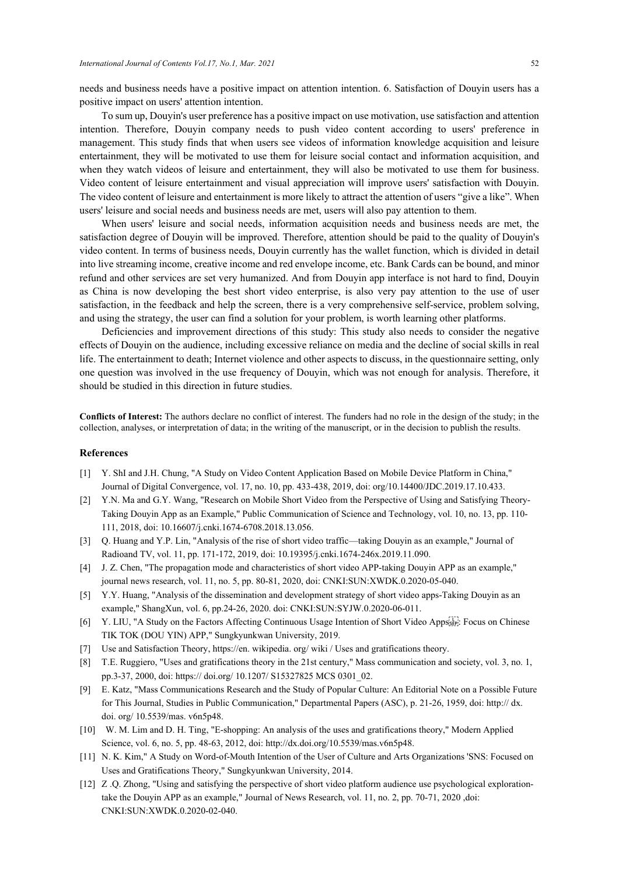needs and business needs have a positive impact on attention intention. 6. Satisfaction of Douyin users has a positive impact on users' attention intention.

To sum up, Douyin's user preference has a positive impact on use motivation, use satisfaction and attention intention. Therefore, Douyin company needs to push video content according to users' preference in management. This study finds that when users see videos of information knowledge acquisition and leisure entertainment, they will be motivated to use them for leisure social contact and information acquisition, and when they watch videos of leisure and entertainment, they will also be motivated to use them for business. Video content of leisure entertainment and visual appreciation will improve users' satisfaction with Douyin. The video content of leisure and entertainment is more likely to attract the attention of users "give a like". When users' leisure and social needs and business needs are met, users will also pay attention to them.

When users' leisure and social needs, information acquisition needs and business needs are met, the satisfaction degree of Douyin will be improved. Therefore, attention should be paid to the quality of Douyin's video content. In terms of business needs, Douyin currently has the wallet function, which is divided in detail into live streaming income, creative income and red envelope income, etc. Bank Cards can be bound, and minor refund and other services are set very humanized. And from Douyin app interface is not hard to find, Douyin as China is now developing the best short video enterprise, is also very pay attention to the use of user satisfaction, in the feedback and help the screen, there is a very comprehensive self-service, problem solving, and using the strategy, the user can find a solution for your problem, is worth learning other platforms.

Deficiencies and improvement directions of this study: This study also needs to consider the negative effects of Douyin on the audience, including excessive reliance on media and the decline of social skills in real life. The entertainment to death; Internet violence and other aspects to discuss, in the questionnaire setting, only one question was involved in the use frequency of Douyin, which was not enough for analysis. Therefore, it should be studied in this direction in future studies.

**Conflicts of Interest:** The authors declare no conflict of interest. The funders had no role in the design of the study; in the collection, analyses, or interpretation of data; in the writing of the manuscript, or in the decision to publish the results.

# **References**

- [1] Y. ShI and J.H. Chung, "A Study on Video Content Application Based on Mobile Device Platform in China," Journal of Digital Convergence, vol. 17, no. 10, pp. 433-438, 2019, doi: org/10.14400/JDC.2019.17.10.433.
- [2] Y.N. Ma and G.Y. Wang, "Research on Mobile Short Video from the Perspective of Using and Satisfying Theory-Taking Douyin App as an Example," Public Communication of Science and Technology, vol. 10, no. 13, pp. 110- 111, 2018, doi: 10.16607/j.cnki.1674-6708.2018.13.056.
- [3] Q. Huang and Y.P. Lin, "Analysis of the rise of short video traffic—taking Douyin as an example," Journal of Radioand TV, vol. 11, pp. 171-172, 2019, doi: 10.19395/j.cnki.1674-246x.2019.11.090.
- [4] J. Z. Chen, "The propagation mode and characteristics of short video APP-taking Douyin APP as an example," journal news research, vol. 11, no. 5, pp. 80-81, 2020, doi: CNKI:SUN:XWDK.0.2020-05-040.
- [5] Y.Y. Huang, "Analysis of the dissemination and development strategy of short video apps-Taking Douyin as an example," ShangXun, vol. 6, pp.24-26, 2020. doi: CNKI:SUN:SYJW.0.2020-06-011.
- [6] Y. LIU, "A Study on the Factors Affecting Continuous Usage Intention of Short Video Appsster: Focus on Chinese TIK TOK (DOU YIN) APP," Sungkyunkwan University, 2019.
- [7] Use and Satisfaction Theory, https://en. wikipedia. org/ wiki / Uses and gratifications theory.
- [8] T.E. Ruggiero, "Uses and gratifications theory in the 21st century," Mass communication and society, vol. 3, no. 1, pp.3-37, 2000, doi: https:// doi.org/ 10.1207/ S15327825 MCS 0301\_02.
- [9] E. Katz, "Mass Communications Research and the Study of Popular Culture: An Editorial Note on a Possible Future for This Journal, Studies in Public Communication," Departmental Papers (ASC), p. 21-26, 1959, doi: http:// dx. doi. org/ 10.5539/mas. v6n5p48.
- [10] W. M. Lim and D. H. Ting, "E-shopping: An analysis of the uses and gratifications theory," Modern Applied Science, vol. 6, no. 5, pp. 48-63, 2012, doi: http://dx.doi.org/10.5539/mas.v6n5p48.
- [11] N. K. Kim," A Study on Word-of-Mouth Intention of the User of Culture and Arts Organizations 'SNS: Focused on Uses and Gratifications Theory," Sungkyunkwan University, 2014.
- [12] Z .Q. Zhong, "Using and satisfying the perspective of short video platform audience use psychological explorationtake the Douyin APP as an example," Journal of News Research, vol. 11, no. 2, pp. 70-71, 2020 ,doi: CNKI:SUN:XWDK.0.2020-02-040.